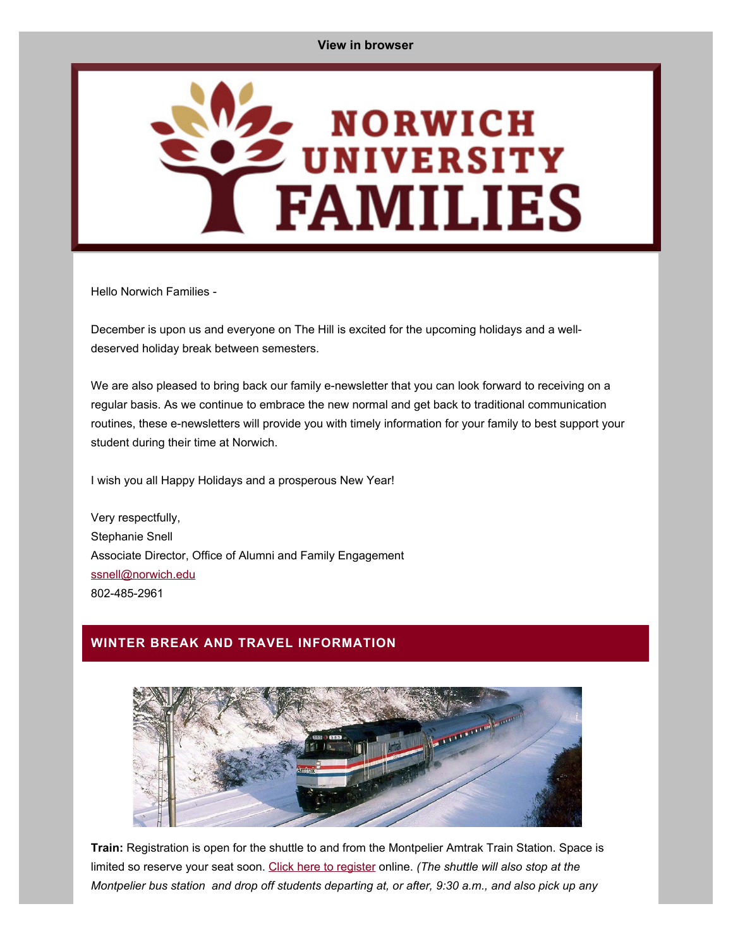<span id="page-0-0"></span>

Hello Norwich Families -

December is upon us and everyone on The Hill is excited for the upcoming holidays and a welldeserved holiday break between semesters.

We are also pleased to bring back our family e-newsletter that you can look forward to receiving on a regular basis. As we continue to embrace the new normal and get back to traditional communication routines, these e-newsletters will provide you with timely information for your family to best support your student during their time at Norwich.

I wish you all Happy Holidays and a prosperous New Year!

Very respectfully, Stephanie Snell Associate Director, Office of Alumni and Family Engagement [ssnell@norwich.edu](mailto:ssnell@norwich.edu) 802-485-2961

### **WINTER BREAK AND TRAVEL INFORMATION**



**Train:** Registration is open for the shuttle to and from the Montpelier Amtrak Train Station. Space is limited so reserve your seat soon. [Click here to register](https://alumni.norwich.edu/ShuttleService?srctid=1&erid=22061673&trid=db6ad3dd-2624-4456-a9bf-16257f4c1337) online. *(The shuttle will also stop at the Montpelier bus station and drop off students departing at, or after, 9:30 a.m., and also pick up any*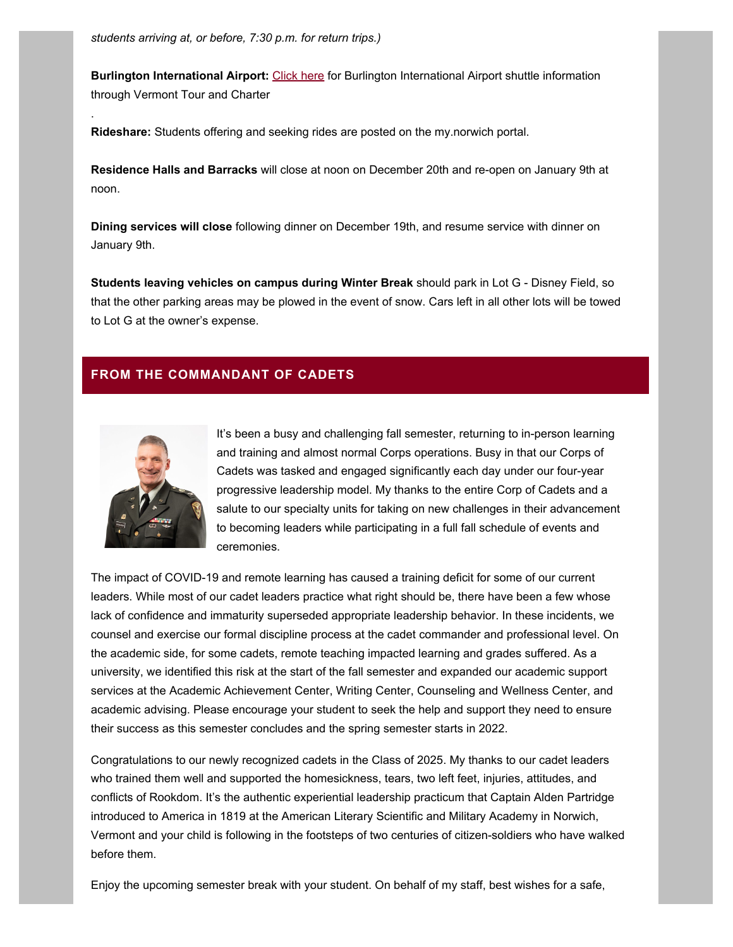**Burlington International Airport:** [Click here](https://alumni.norwich.edu/page.redir?target=http%3a%2f%2fwww.vermonttourandcharter.com%2fnorwich&srcid=153977&srctid=1&erid=22061673&trid=db6ad3dd-2624-4456-a9bf-16257f4c1337) for Burlington International Airport shuttle information through Vermont Tour and Charter

**Rideshare:** Students offering and seeking rides are posted on the my.norwich portal.

**Residence Halls and Barracks** will close at noon on December 20th and re-open on January 9th at noon.

**Dining services will close** following dinner on December 19th, and resume service with dinner on January 9th.

**Students leaving vehicles on campus during Winter Break** should park in Lot G - Disney Field, so that the other parking areas may be plowed in the event of snow. Cars left in all other lots will be towed to Lot G at the owner's expense.

## **FROM THE COMMANDANT OF CADETS**



.

It's been a busy and challenging fall semester, returning to in-person learning and training and almost normal Corps operations. Busy in that our Corps of Cadets was tasked and engaged significantly each day under our four-year progressive leadership model. My thanks to the entire Corp of Cadets and a salute to our specialty units for taking on new challenges in their advancement to becoming leaders while participating in a full fall schedule of events and ceremonies.

The impact of COVID-19 and remote learning has caused a training deficit for some of our current leaders. While most of our cadet leaders practice what right should be, there have been a few whose lack of confidence and immaturity superseded appropriate leadership behavior. In these incidents, we counsel and exercise our formal discipline process at the cadet commander and professional level. On the academic side, for some cadets, remote teaching impacted learning and grades suffered. As a university, we identified this risk at the start of the fall semester and expanded our academic support services at the Academic Achievement Center, Writing Center, Counseling and Wellness Center, and academic advising. Please encourage your student to seek the help and support they need to ensure their success as this semester concludes and the spring semester starts in 2022.

Congratulations to our newly recognized cadets in the Class of 2025. My thanks to our cadet leaders who trained them well and supported the homesickness, tears, two left feet, injuries, attitudes, and conflicts of Rookdom. It's the authentic experiential leadership practicum that Captain Alden Partridge introduced to America in 1819 at the American Literary Scientific and Military Academy in Norwich, Vermont and your child is following in the footsteps of two centuries of citizen-soldiers who have walked before them.

Enjoy the upcoming semester break with your student. On behalf of my staff, best wishes for a safe,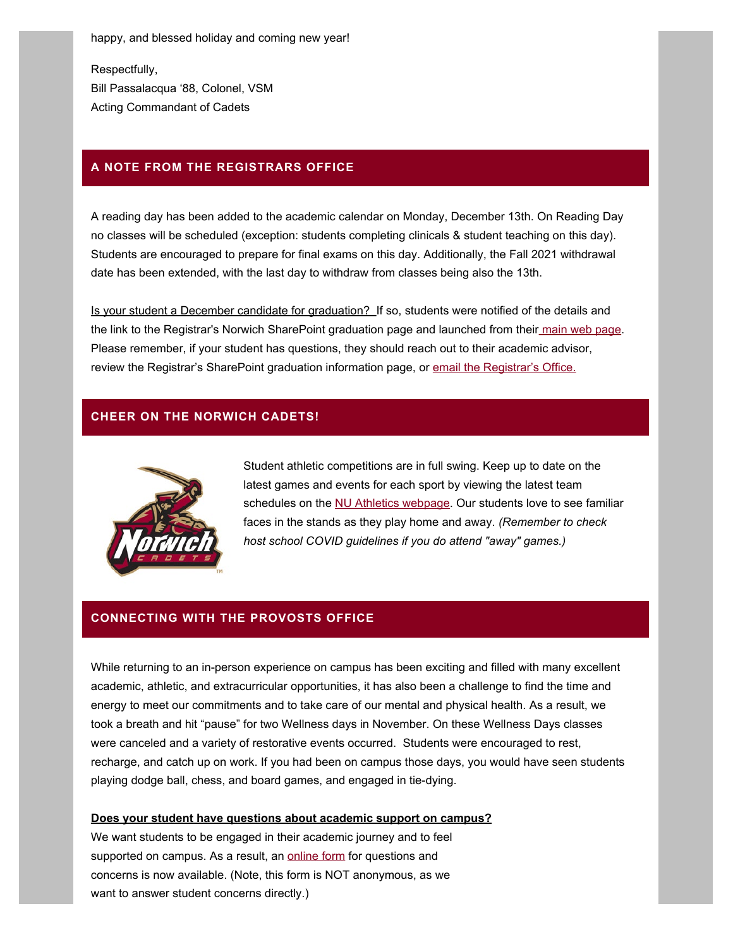happy, and blessed holiday and coming new year!

Respectfully, Bill Passalacqua '88, Colonel, VSM Acting Commandant of Cadets

#### **A NOTE FROM THE REGISTRARS OFFICE**

A reading day has been added to the academic calendar on Monday, December 13th. On Reading Day no classes will be scheduled (exception: students completing clinicals & student teaching on this day). Students are encouraged to prepare for final exams on this day. Additionally, the Fall 2021 withdrawal date has been extended, with the last day to withdraw from classes being also the 13th.

Is your student a December candidate for graduation? If so, students were notified of the details and the link to the Registrar's Norwich SharePoint graduation page and launched from thei[r main web pag](https://alumni.norwich.edu/page.redir?target=https%3a%2f%2fwww.norwich.edu%2fregistrar%2fall-of-registrar%2f1129-forms&srcid=153977&srctid=1&erid=22061673&trid=db6ad3dd-2624-4456-a9bf-16257f4c1337)e. Please remember, if your student has questions, they should reach out to their academic advisor, review the Registrar's SharePoint graduation information page, or [email the Registrar's Office.](mailto:%20registrar@norwich.edu)

## **CHEER ON THE NORWICH CADETS!**



Student athletic competitions are in full swing. Keep up to date on the latest games and events for each sport by viewing the latest team schedules on the [NU Athletics webpage](https://alumni.norwich.edu/page.redir?target=https%3a%2f%2fwww.norwichathletics.com%2flanding%2findex&srcid=153977&srctid=1&erid=22061673&trid=db6ad3dd-2624-4456-a9bf-16257f4c1337). Our students love to see familiar faces in the stands as they play home and away. *(Remember to check host school COVID guidelines if you do attend "away" games.)*

## **CONNECTING WITH THE PROVOSTS OFFICE**

While returning to an in-person experience on campus has been exciting and filled with many excellent academic, athletic, and extracurricular opportunities, it has also been a challenge to find the time and energy to meet our commitments and to take care of our mental and physical health. As a result, we took a breath and hit "pause" for two Wellness days in November. On these Wellness Days classes were canceled and a variety of restorative events occurred. Students were encouraged to rest, recharge, and catch up on work. If you had been on campus those days, you would have seen students playing dodge ball, chess, and board games, and engaged in tie-dying.

#### **Does your student have questions about academic support on campus?**

We want students to be engaged in their academic journey and to feel supported on campus. As a result, an [online form](https://alumni.norwich.edu/page.redir?target=https%3a%2f%2fforms.office.com%2fpages%2fresponsepage.aspx%3fid%3dVrf8NHw66k2rTVMkvALvXgyw-vZMTw9BrJNZSicktQpUMkpMRjNUTTdINDA4UVA1MFZKTFRVMzI3TS4u&srcid=153977&srctid=1&erid=22061673&trid=db6ad3dd-2624-4456-a9bf-16257f4c1337) for questions and concerns is now available. (Note, this form is NOT anonymous, as we want to answer student concerns directly.)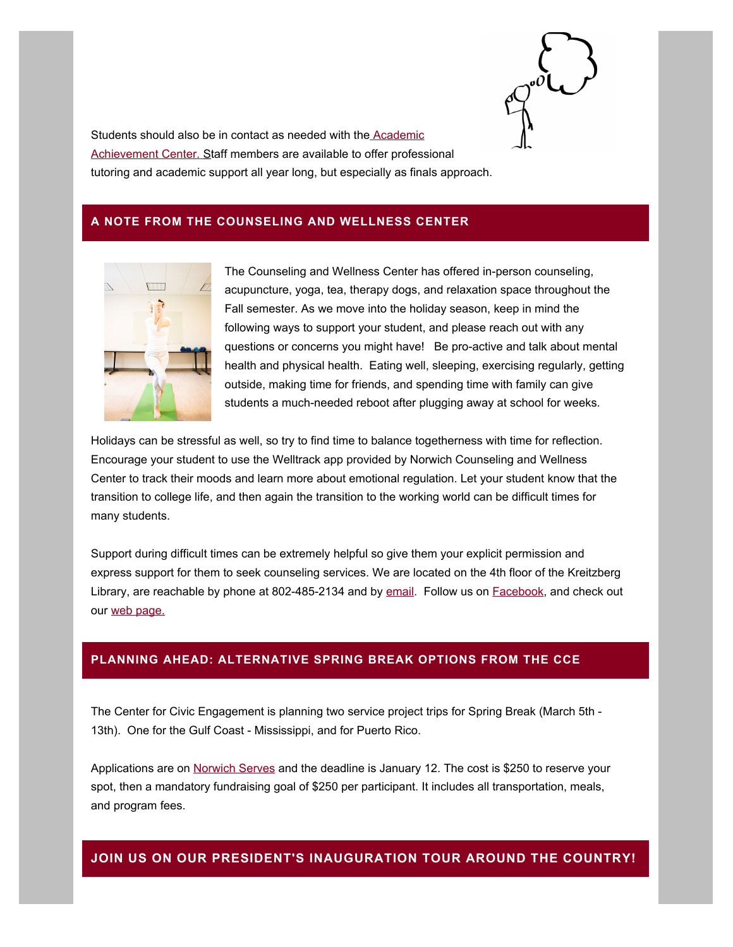

Students should also be in contact as needed with the [Academic](https://alumni.norwich.edu/page.redir?target=https%3a%2f%2fwww.norwich.edu%2faac&srcid=153977&srctid=1&erid=22061673&trid=db6ad3dd-2624-4456-a9bf-16257f4c1337) [Achievement Center.](https://alumni.norwich.edu/page.redir?target=https%3a%2f%2fwww.norwich.edu%2faac&srcid=153977&srctid=1&erid=22061673&trid=db6ad3dd-2624-4456-a9bf-16257f4c1337) [S](https://alumni.norwich.edu/page.redir?target=https%3a%2f%2fwww.norwich.edu%2faac&srcid=153977&srctid=1&erid=22061673&trid=db6ad3dd-2624-4456-a9bf-16257f4c1337)taff members are available to offer professional tutoring and academic support all year long, but especially as finals approach.

### **A NOTE FROM THE COUNSELING AND WELLNESS CENTER**



The Counseling and Wellness Center has offered in-person counseling, acupuncture, yoga, tea, therapy dogs, and relaxation space throughout the Fall semester. As we move into the holiday season, keep in mind the following ways to support your student, and please reach out with any questions or concerns you might have! Be pro-active and talk about mental health and physical health. Eating well, sleeping, exercising regularly, getting outside, making time for friends, and spending time with family can give students a much-needed reboot after plugging away at school for weeks.

Holidays can be stressful as well, so try to find time to balance togetherness with time for reflection. Encourage your student to use the Welltrack app provided by Norwich Counseling and Wellness Center to track their moods and learn more about emotional regulation. Let your student know that the transition to college life, and then again the transition to the working world can be difficult times for many students.

Support during difficult times can be extremely helpful so give them your explicit permission and express support for them to seek counseling services. We are located on the 4th floor of the Kreitzberg Library, are reachable by phone at 802-485-2134 and by [email](mailto:%20cwc@norwich.edu). Follow us on **Facebook**, and check out our [web page.](https://alumni.norwich.edu/page.redir?target=https%3a%2f%2fwww.norwich.edu%2fcounseling&srcid=153977&srctid=1&erid=22061673&trid=db6ad3dd-2624-4456-a9bf-16257f4c1337)

## **PLANNING AHEAD: ALTERNATIVE SPRING BREAK OPTIONS FROM THE CCE**

The Center for Civic Engagement is planning two service project trips for Spring Break (March 5th - 13th). One for the Gulf Coast - Mississippi, and for Puerto Rico.

Applications are on [Norwich Serves](https://alumni.norwich.edu/page.redir?target=https%3a%2f%2fnorwichserves.givepulse.com%2fevent%2f264799-Alternative%252BSpring%252BBreak%3fpkey%3d309fc25a389d240e7d3a0fa213f7b254&srcid=153977&srctid=1&erid=22061673&trid=db6ad3dd-2624-4456-a9bf-16257f4c1337) and the deadline is January 12. The cost is \$250 to reserve your spot, then a mandatory fundraising goal of \$250 per participant. It includes all transportation, meals, and program fees.

## **JOIN US ON OUR PRESIDENT'S INAUGURATION TOUR AROUND THE COUNTRY!**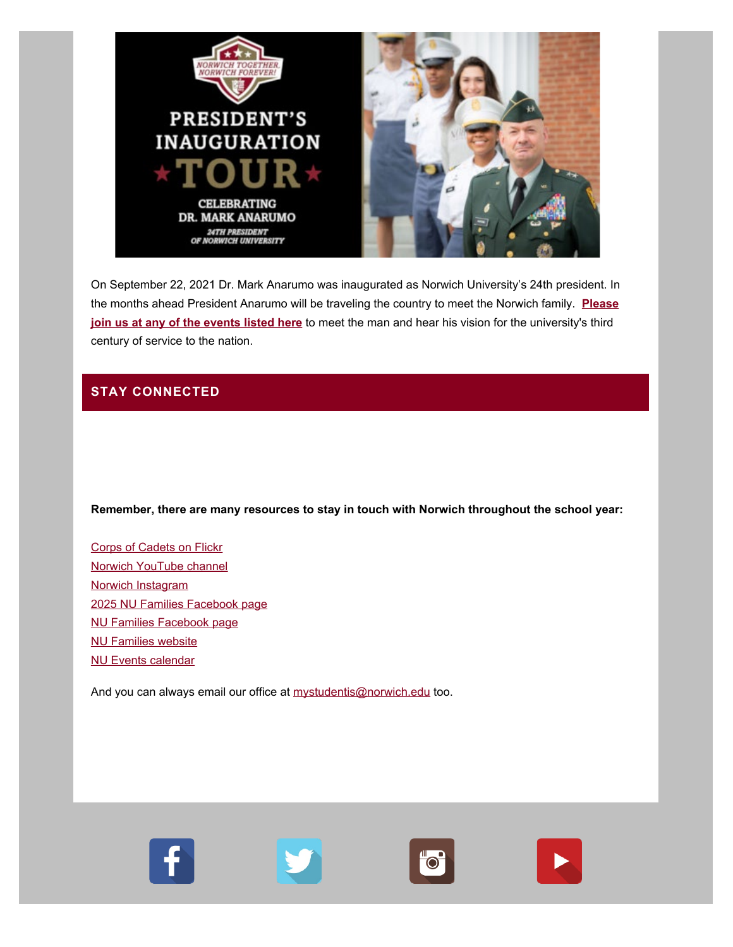

On September 22, 2021 Dr. Mark Anarumo was inaugurated as Norwich University's 24th president. In the months ahead President Anarumo will be traveling the country to meet the Norwich family. **[Please](https://alumni.norwich.edu/page.redir?target=https%3a%2f%2falumni.norwich.edu%2finaugurationtour&srcid=153977&srctid=1&erid=22061673&trid=db6ad3dd-2624-4456-a9bf-16257f4c1337) [join us at any of the events listed here](https://alumni.norwich.edu/page.redir?target=https%3a%2f%2falumni.norwich.edu%2finaugurationtour&srcid=153977&srctid=1&erid=22061673&trid=db6ad3dd-2624-4456-a9bf-16257f4c1337)** to meet the man and hear his vision for the university's third century of service to the nation.

# **STAY CONNECTED**

**Remember, there are many resources to stay in touch with Norwich throughout the school year:**

[Corps of Cadets on Flickr](https://alumni.norwich.edu/page.redir?target=https%3a%2f%2fwww.flickr.com%2fphotos%2fnucorpsofcadets%2f&srcid=153977&srctid=1&erid=22061673&trid=db6ad3dd-2624-4456-a9bf-16257f4c1337) [Norwich YouTube channel](https://alumni.norwich.edu/page.redir?target=https%3a%2f%2fwww.youtube.com%2fc%2fnorwichuniversity%2ffeatured&srcid=153977&srctid=1&erid=22061673&trid=db6ad3dd-2624-4456-a9bf-16257f4c1337) [Norwich Instagram](https://alumni.norwich.edu/page.redir?target=https%3a%2f%2fwww.instagram.com%2fnorwichuniversity%2f%3fhl%3den&srcid=153977&srctid=1&erid=22061673&trid=db6ad3dd-2624-4456-a9bf-16257f4c1337) [2025 NU Families Facebook page](https://alumni.norwich.edu/page.redir?target=https%3a%2f%2fwww.facebook.com%2fgroups%2fnu2025families&srcid=153977&srctid=1&erid=22061673&trid=db6ad3dd-2624-4456-a9bf-16257f4c1337) [NU Families Facebook page](https://alumni.norwich.edu/page.redir?target=https%3a%2f%2fwww.facebook.com%2fNUFamilies&srcid=153977&srctid=1&erid=22061673&trid=db6ad3dd-2624-4456-a9bf-16257f4c1337) [NU Families website](https://alumni.norwich.edu/page.redir?target=https%3a%2f%2falumni.norwich.edu%2fNUfamilies&srcid=153977&srctid=1&erid=22061673&trid=db6ad3dd-2624-4456-a9bf-16257f4c1337) [NU Events calendar](https://alumni.norwich.edu/Events?srctid=1&erid=22061673&trid=db6ad3dd-2624-4456-a9bf-16257f4c1337)

And you can always email our office at [mystudentis@norwich.edu](mailto:mailto%20mystudentis@norwich.edu) too.